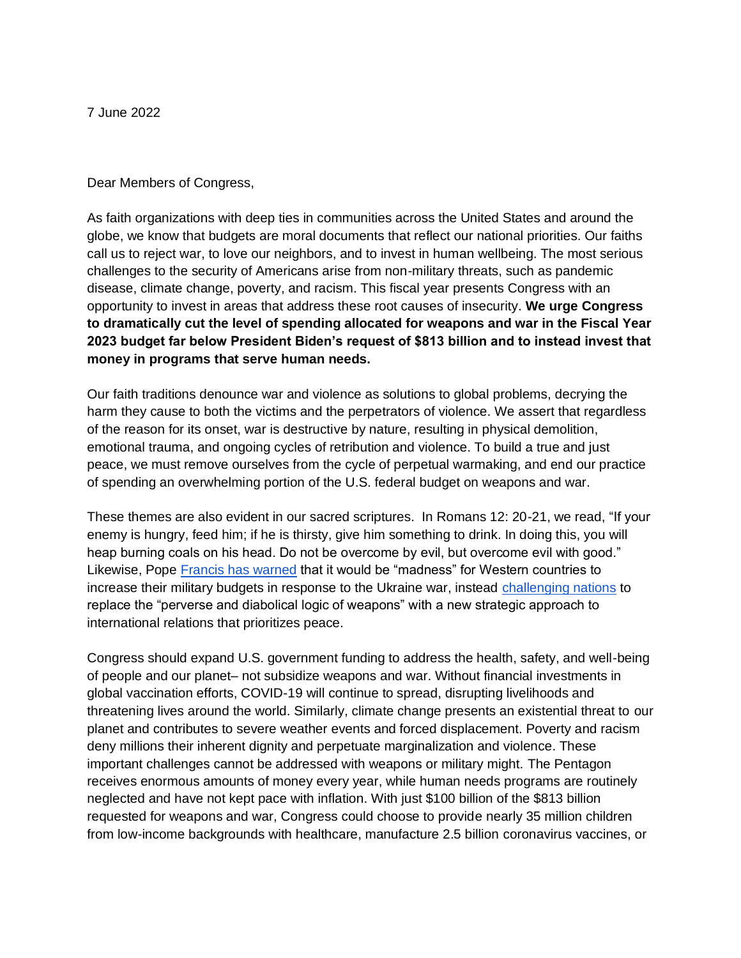7 June 2022

Dear Members of Congress,

As faith organizations with deep ties in communities across the United States and around the globe, we know that budgets are moral documents that reflect our national priorities. Our faiths call us to reject war, to love our neighbors, and to invest in human wellbeing. The most serious challenges to the security of Americans arise from non-military threats, such as pandemic disease, climate change, poverty, and racism. This fiscal year presents Congress with an opportunity to invest in areas that address these root causes of insecurity. **We urge Congress to dramatically cut the level of spending allocated for weapons and war in the Fiscal Year 2023 budget far below President Biden's request of \$813 billion and to instead invest that money in programs that serve human needs.** 

Our faith traditions denounce war and violence as solutions to global problems, decrying the harm they cause to both the victims and the perpetrators of violence. We assert that regardless of the reason for its onset, war is destructive by nature, resulting in physical demolition, emotional trauma, and ongoing cycles of retribution and violence. To build a true and just peace, we must remove ourselves from the cycle of perpetual warmaking, and end our practice of spending an overwhelming portion of the U.S. federal budget on weapons and war.

These themes are also evident in our sacred scriptures. In Romans 12: 20-21, we read, "If your enemy is hungry, feed him; if he is thirsty, give him something to drink. In doing this, you will heap burning coals on his head. Do not be overcome by evil, but overcome evil with good." Likewise, Pope [Francis has warned](https://cruxnow.com/vatican/2022/03/pope-condemns-shameful-ukraine-war-but-calls-western-defense-expenditures-madness) that it would be "madness" for Western countries to increase their military budgets in response to the Ukraine war, instead [challenging nations](https://www.vatican.va/content/francesco/en/angelus/2022/documents/20220227-angelus.html) to replace the "perverse and diabolical logic of weapons" with a new strategic approach to international relations that prioritizes peace.

Congress should expand U.S. government funding to address the health, safety, and well-being of people and our planet– not subsidize weapons and war. Without financial investments in global vaccination efforts, COVID-19 will continue to spread, disrupting livelihoods and threatening lives around the world. Similarly, climate change presents an existential threat to our planet and contributes to severe weather events and forced displacement. Poverty and racism deny millions their inherent dignity and perpetuate marginalization and violence. These important challenges cannot be addressed with weapons or military might. The Pentagon receives enormous amounts of money every year, while human needs programs are routinely neglected and have not kept pace with inflation. With just \$100 billion of the \$813 billion requested for weapons and war, Congress could choose to provide nearly 35 million children from low-income backgrounds with healthcare, manufacture 2.5 billion coronavirus vaccines, or